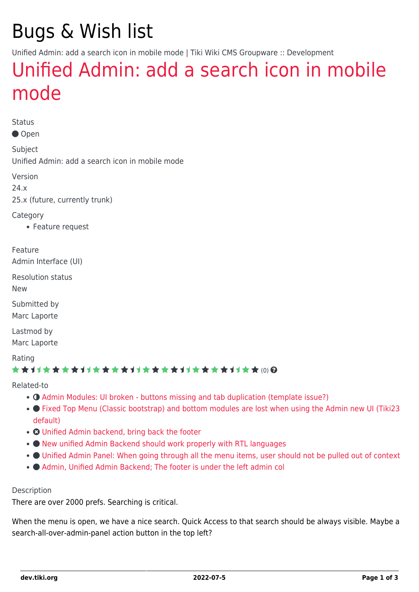# Bugs & Wish list

Unified Admin: add a search icon in mobile mode | Tiki Wiki CMS Groupware :: Development

### [Unified Admin: add a search icon in mobile](https://dev.tiki.org/item7994-Unified-Admin-add-a-search-icon-in-mobile-mode) [mode](https://dev.tiki.org/item7994-Unified-Admin-add-a-search-icon-in-mobile-mode)

**Status** 

Open

Subject Unified Admin: add a search icon in mobile mode

Version 24.x

25.x (future, currently trunk)

**Category** 

Feature request

Feature Admin Interface (UI)

Resolution status

New

Submitted by Marc Laporte

Lastmod by Marc Laporte

Rating

### ★★11★★★★11★★★★11★★★★11★★★★11★★ @@

Related-to

- **O** [Admin Modules: UI broken buttons missing and tab duplication \(template issue?\)](https://dev.tiki.org/item7967-Admin-Modules-UI-broken-buttons-missing-and-tab-duplication-template-issue)
- [Fixed Top Menu \(Classic bootstrap\) and bottom modules are lost when using the Admin new UI \(Tiki23](https://dev.tiki.org/item7814-Fixed-Top-Menu-Classic-bootstrap-and-bottom-modules-are-lost-when-using-the-Admin-new-UI-Tiki23-default) [default\)](https://dev.tiki.org/item7814-Fixed-Top-Menu-Classic-bootstrap-and-bottom-modules-are-lost-when-using-the-Admin-new-UI-Tiki23-default)
- **O** [Unified Admin backend, bring back the footer](https://dev.tiki.org/item7991-Unified-Admin-backend-bring-back-the-footer)
- $\bullet$  [New unified Admin Backend should work properly with RTL languages](https://dev.tiki.org/item7993-New-unified-Admin-Backend-should-work-properly-with-RTL-languages)
- [Unified Admin Panel: When going through all the menu items, user should not be pulled out of context](https://dev.tiki.org/item7995-Unified-Admin-Panel-When-going-through-all-the-menu-items-user-should-not-be-pulled-out-of-context)
- $\bullet$  Admin, Unified Admin Backend: The footer is under the left admin col

#### Description

There are over 2000 prefs. Searching is critical.

When the menu is open, we have a nice search. Quick Access to that search should be always visible. Maybe a search-all-over-admin-panel action button in the top left?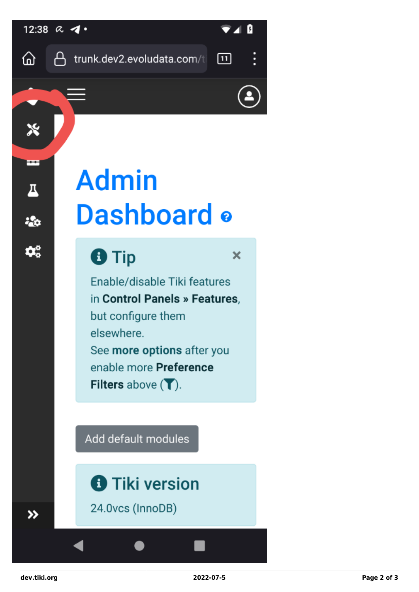

# **Admin** Dashboard o

## **O** Tip

 $\mathbf x$ 

Fnable/disable Tiki features in Control Panels » Features, but configure them elsewhere. See more options after you enable more Preference Filters above  $\left(\bigtriangledown\right)$ .

Add default modules

## **f** Tiki version

24.0vcs (InnoDB)

 $\rightarrow$ 

 $\boldsymbol{\aleph}$ 

Ŧ

 $\overline{\mathbf{A}}$ 

 $\frac{1}{2}$ 

 $\boldsymbol{\varphi}_{\rm o}^{\rm o}$